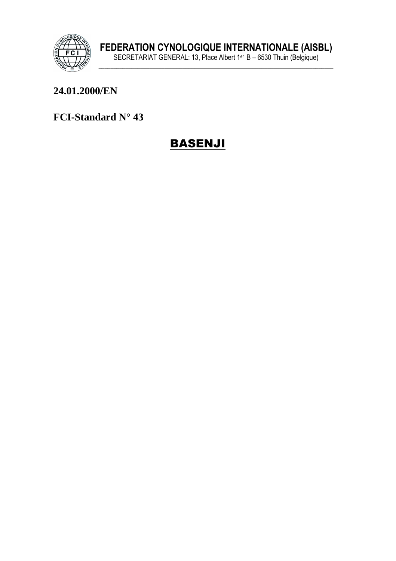

#### 24.01.2000/EN

FCI-Standard N° 43

## **BASENJI**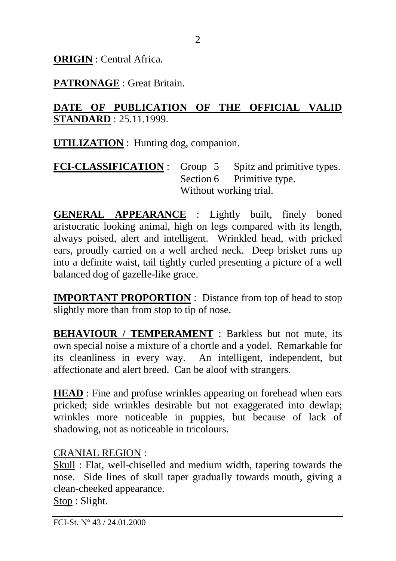**ORIGIN** : Central Africa.

**PATRONAGE** : Great Britain.

#### **DATE OF PUBLICATION OF THE OFFICIAL VALID STANDARD** : 25.11.1999.

**UTILIZATION** : Hunting dog, companion.

**FCI-CLASSIFICATION** : Group 5 Spitz and primitive types. Section 6 Primitive type. Without working trial.

**GENERAL APPEARANCE** : Lightly built, finely boned aristocratic looking animal, high on legs compared with its length, always poised, alert and intelligent. Wrinkled head, with pricked ears, proudly carried on a well arched neck. Deep brisket runs up into a definite waist, tail tightly curled presenting a picture of a well balanced dog of gazelle-like grace.

**IMPORTANT PROPORTION** : Distance from top of head to stop slightly more than from stop to tip of nose.

**BEHAVIOUR / TEMPERAMENT** : Barkless but not mute, its own special noise a mixture of a chortle and a yodel. Remarkable for its cleanliness in every way. An intelligent, independent, but affectionate and alert breed. Can be aloof with strangers.

**HEAD** : Fine and profuse wrinkles appearing on forehead when ears pricked; side wrinkles desirable but not exaggerated into dewlap; wrinkles more noticeable in puppies, but because of lack of shadowing, not as noticeable in tricolours.

### CRANIAL REGION :

Skull : Flat, well-chiselled and medium width, tapering towards the nose. Side lines of skull taper gradually towards mouth, giving a clean-cheeked appearance. Stop : Slight.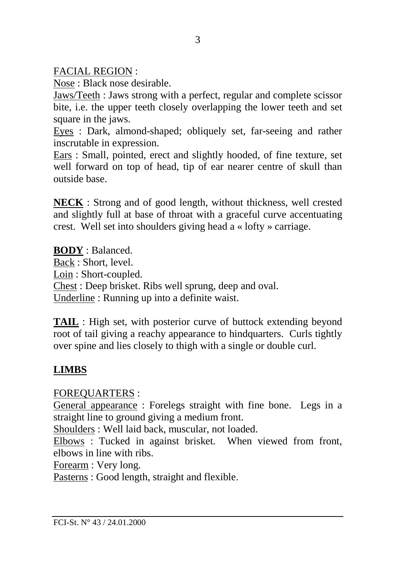FACIAL REGION :

Nose : Black nose desirable.

Jaws/Teeth : Jaws strong with a perfect, regular and complete scissor bite, i.e. the upper teeth closely overlapping the lower teeth and set square in the jaws.

Eyes : Dark, almond-shaped; obliquely set, far-seeing and rather inscrutable in expression.

Ears : Small, pointed, erect and slightly hooded, of fine texture, set well forward on top of head, tip of ear nearer centre of skull than outside base.

**NECK** : Strong and of good length, without thickness, well crested and slightly full at base of throat with a graceful curve accentuating crest. Well set into shoulders giving head a « lofty » carriage.

**BODY** : Balanced. Back : Short, level. Loin : Short-coupled. Chest : Deep brisket. Ribs well sprung, deep and oval. Underline : Running up into a definite waist.

**TAIL** : High set, with posterior curve of buttock extending beyond root of tail giving a reachy appearance to hindquarters. Curls tightly over spine and lies closely to thigh with a single or double curl.

## **LIMBS**

FOREQUARTERS :

General appearance : Forelegs straight with fine bone. Legs in a straight line to ground giving a medium front.

Shoulders : Well laid back, muscular, not loaded.

Elbows : Tucked in against brisket. When viewed from front, elbows in line with ribs.

Forearm : Very long.

Pasterns : Good length, straight and flexible.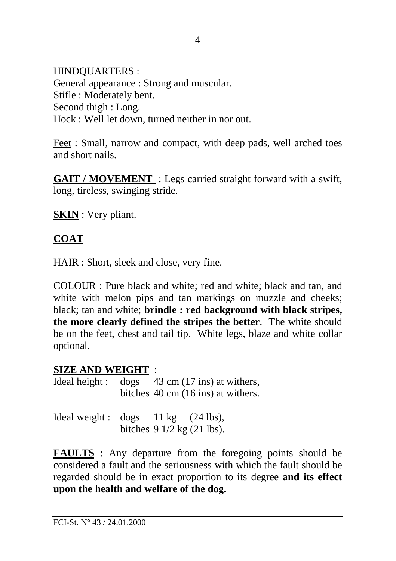HINDQUARTERS : General appearance : Strong and muscular. Stifle : Moderately bent. Second thigh : Long. Hock : Well let down, turned neither in nor out.

Feet : Small, narrow and compact, with deep pads, well arched toes and short nails.

**GAIT / MOVEMENT** : Legs carried straight forward with a swift, long, tireless, swinging stride.

**SKIN** : Very pliant.

### **COAT**

HAIR : Short, sleek and close, very fine.

COLOUR : Pure black and white; red and white; black and tan, and white with melon pips and tan markings on muzzle and cheeks; black; tan and white; **brindle : red background with black stripes, the more clearly defined the stripes the better**. The white should be on the feet, chest and tail tip. White legs, blaze and white collar optional.

#### **SIZE AND WEIGHT** :

Ideal height : dogs 43 cm (17 ins) at withers, bitches 40 cm (16 ins) at withers.

Ideal weight :  $\log s$  11 kg (24 lbs), bitches 9 1/2 kg (21 lbs).

**FAULTS** : Any departure from the foregoing points should be considered a fault and the seriousness with which the fault should be regarded should be in exact proportion to its degree **and its effect upon the health and welfare of the dog.**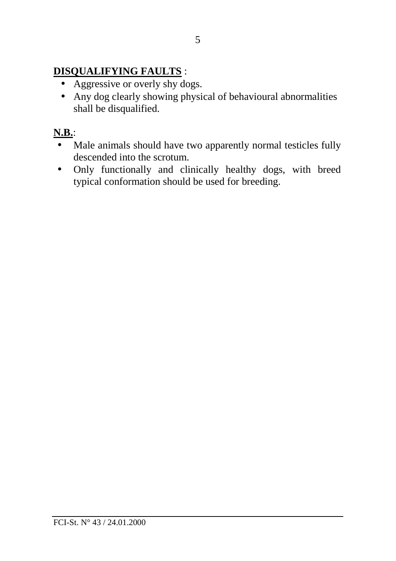## **DISQUALIFYING FAULTS** :

- Aggressive or overly shy dogs.
- Any dog clearly showing physical of behavioural abnormalities shall be disqualified.

## **N.B.**:

- Male animals should have two apparently normal testicles fully descended into the scrotum.
- Only functionally and clinically healthy dogs, with breed typical conformation should be used for breeding.